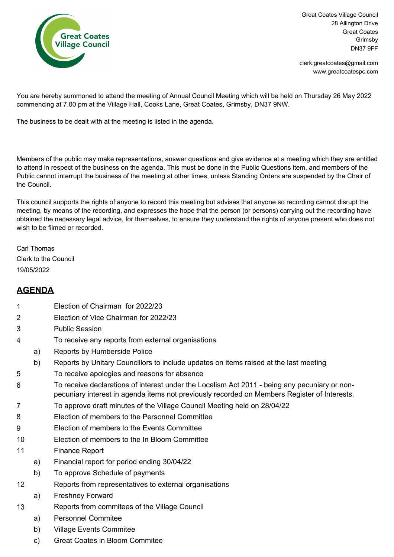

Great Coates Village Council 28 Allington Drive Great Coates Grimsby DN37 9FF

www.greatcoatespc.com clerk.greatcoates@gmail.com

You are hereby summoned to attend the meeting of Annual Council Meeting which will be held on Thursday 26 May 2022 commencing at 7.00 pm at the Village Hall, Cooks Lane, Great Coates, Grimsby, DN37 9NW.

The business to be dealt with at the meeting is listed in the agenda.

Members of the public may make representations, answer questions and give evidence at a meeting which they are entitled to attend in respect of the business on the agenda. This must be done in the Public Questions item, and members of the Public cannot interrupt the business of the meeting at other times, unless Standing Orders are suspended by the Chair of the Council.

This council supports the rights of anyone to record this meeting but advises that anyone so recording cannot disrupt the meeting, by means of the recording, and expresses the hope that the person (or persons) carrying out the recording have obtained the necessary legal advice, for themselves, to ensure they understand the rights of anyone present who does not wish to be filmed or recorded.

Carl Thomas Clerk to the Council 19/05/2022

## **AGENDA**

- 1 Election of Chairman for 2022/23
- 2 Election of Vice Chairman for 2022/23
- 3 Public Session
- 4 To receive any reports from external organisations
	- a) Reports by Humberside Police
	- b) Reports by Unitary Councillors to include updates on items raised at the last meeting
- 5 To receive apologies and reasons for absence
- 6 To receive declarations of interest under the Localism Act 2011 being any pecuniary or nonpecuniary interest in agenda items not previously recorded on Members Register of Interests.
- 7 To approve draft minutes of the Village Council Meeting held on 28/04/22
- 8 Election of members to the Personnel Committee
- 9 Election of members to the Events Committee
- 10 Election of members to the In Bloom Committee
- 11 Finance Report
	- a) Financial report for period ending 30/04/22
	- b) To approve Schedule of payments
- 12 Reports from representatives to external organisations
	- a) Freshney Forward
- 13 Reports from commitees of the Village Council
	- a) Personnel Commitee
	- b) Village Events Commitee
	- c) Great Coates in Bloom Commitee